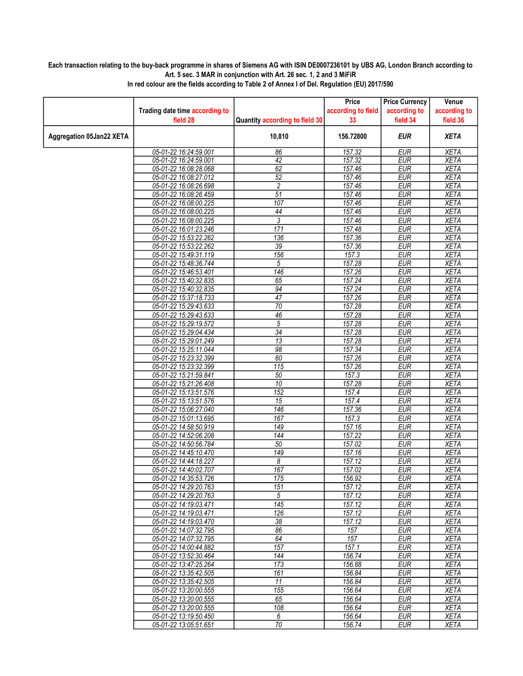## Each transaction relating to the buy-back programme in shares of Siemens AG with ISIN DE0007236101 by UBS AG, London Branch according to Art. 5 sec. 3 MAR in conjunction with Art. 26 sec. 1, 2 and 3 MiFiR

|                                 |                                                |                                | Price              | <b>Price Currency</b>    | Venue                      |
|---------------------------------|------------------------------------------------|--------------------------------|--------------------|--------------------------|----------------------------|
|                                 | Trading date time according to                 |                                | according to field | according to             | according to               |
|                                 | field 28                                       | Quantity according to field 30 | 33                 | field 34                 | field 36                   |
| <b>Aggregation 05Jan22 XETA</b> |                                                | 10,810                         | 156.72800          | <b>EUR</b>               | <b>XETA</b>                |
|                                 | 05-01-22 16:24:59.001                          | 86                             | 157.32             | <b>EUR</b>               | <b>XETA</b>                |
|                                 | 05-01-22 16:24:59.001                          | $\overline{42}$                | 157.32             | <b>EUR</b>               | <b>XETA</b>                |
|                                 | 05-01-22 16:08:28.068                          | 62                             | 157.46             | <b>EUR</b>               | <b>XETA</b>                |
|                                 | 05-01-22 16:08:27.012                          | 52                             | 157.46             | <b>EUR</b>               | <b>XETA</b>                |
|                                 | 05-01-22 16:08:26.698                          | 2                              | 157.46             | <b>EUR</b>               | <b>XETA</b>                |
|                                 | 05-01-22 16:08:26.459                          | $\overline{51}$                | 157.46             | <b>EUR</b>               | <b>XETA</b>                |
|                                 | 05-01-22 16:08:00.225                          | 107                            | 157.46             | <b>EUR</b>               | <b>XETA</b>                |
|                                 | 05-01-22 16:08:00.225                          | 44                             | 157.46             | <b>EUR</b>               | <b>XETA</b>                |
|                                 | 05-01-22 16:08:00.225                          | 3                              | 157.46             | <b>EUR</b>               | <b>XETA</b>                |
|                                 | 05-01-22 16:01:23.246                          | 171                            | 157.48             | <b>EUR</b>               | <b>XETA</b>                |
|                                 | 05-01-22 15:53:22.262                          | 136                            | 157.36             | <b>EUR</b>               | <b>XETA</b>                |
|                                 | 05-01-22 15:53:22.262                          | 39                             | 157.36             | <b>EUR</b>               | <b>XETA</b>                |
|                                 | 05-01-22 15:49:31.119                          | 156                            | 157.3              | <b>EUR</b>               | <b>XETA</b>                |
|                                 | 05-01-22 15:48:36.744                          | 5                              | 157.28             | <b>EUR</b>               | <b>XETA</b>                |
|                                 | 05-01-22 15:46:53.401                          | 146                            | 157.26             | <b>EUR</b>               | <b>XETA</b>                |
|                                 | 05-01-22 15:40:32.835                          | 65                             | 157.24             | <b>EUR</b>               | <b>XETA</b>                |
|                                 | 05-01-22 15:40:32.835                          | 94                             | 157.24             | <b>EUR</b>               | <b>XETA</b>                |
|                                 | 05-01-22 15:37:18.733                          | $\overline{47}$                | 157.26             | <b>EUR</b>               | <b>XETA</b>                |
|                                 | 05-01-22 15:29:43.633                          | $\overline{70}$                | 157.28             | <b>EUR</b>               | <b>XETA</b>                |
|                                 | 05-01-22 15:29:43.633                          | $\overline{46}$                | 157.28             | <b>EUR</b>               | <b>XETA</b>                |
|                                 | 05-01-22 15:29:19.572                          | $\overline{5}$                 | 157.28             | <b>EUR</b>               | <b>XETA</b>                |
|                                 | 05-01-22 15:29:04.434                          | $\overline{34}$                | 157.28             | <b>EUR</b>               | <b>XETA</b>                |
|                                 | 05-01-22 15:29:01.249                          | $\overline{13}$                | 157.28             | <b>EUR</b>               | <b>XETA</b>                |
|                                 | 05-01-22 15:25:11.044                          | 98                             | 157.34             | <b>EUR</b>               | <b>XETA</b>                |
|                                 | 05-01-22 15:23:32.399                          | 60                             | 157.26             | <b>EUR</b>               | <b>XETA</b>                |
|                                 | 05-01-22 15:23:32.399                          | $\overline{115}$               | 157.26             | <b>EUR</b>               | <b>XETA</b>                |
|                                 | 05-01-22 15:21:59.841                          | 50                             | 157.3              | <b>EUR</b>               | <b>XETA</b>                |
|                                 | 05-01-22 15:21:26.408                          | $\overline{10}$                | 157.28             | <b>EUR</b>               | <b>XETA</b>                |
|                                 | 05-01-22 15:13:51.576                          | 152                            | 157.4              | <b>EUR</b>               | <b>XETA</b>                |
|                                 | 05-01-22 15:13:51.576                          | 15                             | 157.4              | <b>EUR</b>               | <b>XETA</b>                |
|                                 | 05-01-22 15:06:27.040                          | 146                            | 157.36             | <b>EUR</b>               | <b>XETA</b>                |
|                                 | 05-01-22 15:01:13.695                          | 167                            | 157.3              | <b>EUR</b>               | <b>XETA</b>                |
|                                 | 05-01-22 14:58:50.919                          | 149                            | 157.16             | <b>EUR</b>               | <b>XETA</b>                |
|                                 | 05-01-22 14:52:06.208                          | 144                            | 157.22             | <b>EUR</b>               | <b>XETA</b>                |
|                                 | 05-01-22 14:50:56.784                          | 50                             | 157.02             | <b>EUR</b>               | <b>XETA</b>                |
|                                 | 05-01-22 14:45:10.470<br>05-01-22 14:44:18.227 | $\overline{149}$<br>8          | 157.16             | <b>EUR</b><br><b>EUR</b> | <b>XETA</b>                |
|                                 | 05-01-22 14:40:02.707                          | 167                            | 157.12<br>157.02   | <b>EUR</b>               | <b>XETA</b><br><b>XETA</b> |
|                                 | 05-01-22 14:35:53.726                          | 175                            | 156.92             | <b>EUR</b>               | <b>XETA</b>                |
|                                 | 05-01-22 14:29:20.763                          | 151                            | 157.12             | <b>EUR</b>               | <b>XETA</b>                |
|                                 | 05-01-22 14:29:20.763                          | 5                              | 157.12             | EUR                      | XETA                       |
|                                 | 05-01-22 14:19:03.471                          | $\overline{145}$               | 157.12             | <b>EUR</b>               | <b>XETA</b>                |
|                                 | 05-01-22 14:19:03.471                          | 126                            | 157.12             | <b>EUR</b>               | <b>XETA</b>                |
|                                 | 05-01-22 14:19:03.470                          | $38\,$                         | 157.12             | <b>EUR</b>               | XETA                       |
|                                 | 05-01-22 14:07:32.795                          | 86                             | 157                | <b>EUR</b>               | <b>XETA</b>                |
|                                 | 05-01-22 14:07:32.795                          | 64                             | 157                | <b>EUR</b>               | <b>XETA</b>                |
|                                 | 05-01-22 14:00:44.882                          | 157                            | 157.1              | EUR                      | XETA                       |
|                                 | 05-01-22 13:52:30.464                          | $\overline{144}$               | 156.74             | <b>EUR</b>               | <b>XETA</b>                |
|                                 | 05-01-22 13:47:25.264                          | 173                            | 156.88             | <b>EUR</b>               | <b>XETA</b>                |
|                                 | 05-01-22 13:35:42.505                          | 161                            | 156.84             | <b>EUR</b>               | <b>XETA</b>                |
|                                 | 05-01-22 13:35:42.505                          | 11                             | 156.84             | <b>EUR</b>               | <b>XETA</b>                |
|                                 | 05-01-22 13:20:00.555                          | 155                            | 156.64             | <b>EUR</b>               | <b>XETA</b>                |
|                                 | 05-01-22 13:20:00.555                          | 65                             | 156.64             | <b>EUR</b>               | <b>XETA</b>                |
|                                 | 05-01-22 13:20:00.555                          | 108                            | 156.64             | <b>EUR</b>               | <b>XETA</b>                |
|                                 | 05-01-22 13:19:50.450                          | 6                              | 156.64             | <b>EUR</b>               | <b>XETA</b>                |
|                                 | 05-01-22 13:05:51.651                          | $\overline{70}$                | 156.74             | <b>EUR</b>               | <b>XETA</b>                |

In red colour are the fields according to Table 2 of Annex I of Del. Regulation (EU) 2017/590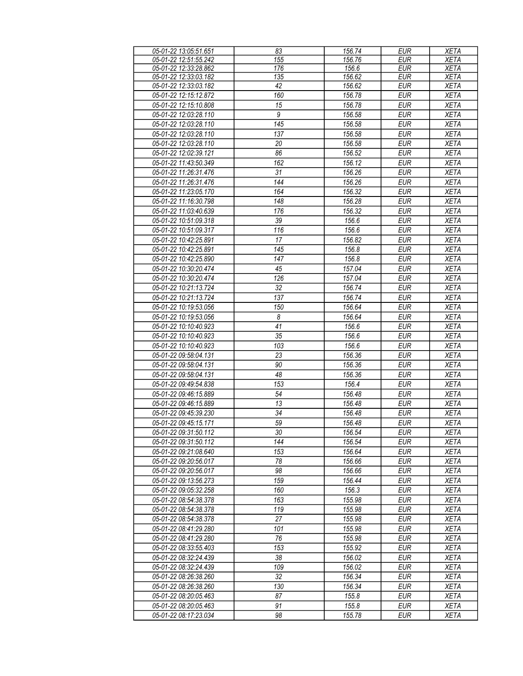| 05-01-22 13:05:51.651 | 83               | 156.74 | <b>EUR</b> | <b>XETA</b> |
|-----------------------|------------------|--------|------------|-------------|
| 05-01-22 12:51:55.242 | 155              | 156.76 | <b>EUR</b> | <b>XETA</b> |
| 05-01-22 12:33:28.862 | 176              | 156.6  | <b>EUR</b> | <b>XETA</b> |
| 05-01-22 12:33:03.182 | 135              | 156.62 | <b>EUR</b> | <b>XETA</b> |
| 05-01-22 12:33:03.182 | 42               | 156.62 | <b>EUR</b> | <b>XETA</b> |
| 05-01-22 12:15:12.872 | 160              | 156.78 | <b>EUR</b> | <b>XETA</b> |
|                       |                  |        |            |             |
| 05-01-22 12:15:10.808 | 15               | 156.78 | <b>EUR</b> | <b>XETA</b> |
| 05-01-22 12:03:28.110 | 9                | 156.58 | <b>EUR</b> | <b>XETA</b> |
| 05-01-22 12:03:28.110 | 145              | 156.58 | <b>EUR</b> | <b>XETA</b> |
| 05-01-22 12:03:28.110 | 137              | 156.58 | <b>EUR</b> | <b>XETA</b> |
| 05-01-22 12:03:28.110 | 20               | 156.58 | <b>EUR</b> | <b>XETA</b> |
| 05-01-22 12:02:39.121 | 86               | 156.52 | <b>EUR</b> | <b>XETA</b> |
| 05-01-22 11:43:50.349 | 162              | 156.12 | <b>EUR</b> | <b>XETA</b> |
| 05-01-22 11:26:31.476 | 31               | 156.26 | <b>EUR</b> | <b>XETA</b> |
| 05-01-22 11:26:31.476 | 144              | 156.26 | <b>EUR</b> | <b>XETA</b> |
| 05-01-22 11:23:05.170 | 164              | 156.32 | <b>EUR</b> | <b>XETA</b> |
|                       |                  |        |            |             |
| 05-01-22 11:16:30.798 | 148              | 156.28 | <b>EUR</b> | <b>XETA</b> |
| 05-01-22 11:03:40.639 | 176              | 156.32 | <b>EUR</b> | <b>XETA</b> |
| 05-01-22 10:51:09.318 | 39               | 156.6  | <b>EUR</b> | <b>XETA</b> |
| 05-01-22 10:51:09.317 | 116              | 156.6  | <b>EUR</b> | <b>XETA</b> |
| 05-01-22 10:42:25.891 | 17               | 156.82 | <b>EUR</b> | <b>XETA</b> |
| 05-01-22 10:42:25.891 | 145              | 156.8  | <b>EUR</b> | <b>XETA</b> |
| 05-01-22 10:42:25.890 | 147              | 156.8  | <b>EUR</b> | <b>XETA</b> |
| 05-01-22 10:30:20.474 | 45               | 157.04 | <b>EUR</b> | <b>XETA</b> |
| 05-01-22 10:30:20.474 | 126              | 157.04 | <b>EUR</b> | <b>XETA</b> |
| 05-01-22 10:21:13.724 | 32               | 156.74 | <b>EUR</b> | <b>XETA</b> |
|                       |                  |        |            |             |
| 05-01-22 10:21:13.724 | 137              | 156.74 | <b>EUR</b> | <b>XETA</b> |
| 05-01-22 10:19:53.056 | 150              | 156.64 | <b>EUR</b> | <b>XETA</b> |
| 05-01-22 10:19:53.056 | $\boldsymbol{8}$ | 156.64 | <b>EUR</b> | <b>XETA</b> |
| 05-01-22 10:10:40.923 | $\overline{41}$  | 156.6  | <b>EUR</b> | <b>XETA</b> |
| 05-01-22 10:10:40.923 | 35               | 156.6  | <b>EUR</b> | <b>XETA</b> |
| 05-01-22 10:10:40.923 | 103              | 156.6  | <b>EUR</b> | <b>XETA</b> |
| 05-01-22 09:58:04.131 | 23               | 156.36 | <b>EUR</b> | <b>XETA</b> |
| 05-01-22 09:58:04.131 | 90               | 156.36 | <b>EUR</b> | <b>XETA</b> |
| 05-01-22 09:58:04.131 | 48               | 156.36 | <b>EUR</b> | <b>XETA</b> |
| 05-01-22 09:49:54.838 | 153              | 156.4  | <b>EUR</b> | <b>XETA</b> |
| 05-01-22 09:46:15.889 | 54               | 156.48 | <b>EUR</b> | <b>XETA</b> |
| 05-01-22 09:46:15.889 | $\overline{13}$  | 156.48 | <b>EUR</b> | <b>XETA</b> |
| 05-01-22 09:45:39.230 |                  |        |            |             |
|                       | 34               | 156.48 | EUR        | <b>XETA</b> |
| 05-01-22 09:45:15.171 | 59               | 156.48 | <b>EUR</b> | <b>XETA</b> |
| 05-01-22 09:31:50.112 | 30               | 156.54 | EUR        | XETA        |
| 05-01-22 09:31:50.112 | 144              | 156.54 | <b>EUR</b> | <b>XETA</b> |
| 05-01-22 09:21:08.640 | 153              | 156.64 | EUR        | XETA        |
| 05-01-22 09:20:56.017 | 78               | 156.66 | EUR        | <b>XETA</b> |
| 05-01-22 09:20:56.017 | 98               | 156.66 | <b>EUR</b> | <b>XETA</b> |
| 05-01-22 09:13:56.273 | 159              | 156.44 | <b>EUR</b> | <b>XETA</b> |
| 05-01-22 09:05:32.258 | 160              | 156.3  | <b>EUR</b> | <b>XETA</b> |
| 05-01-22 08:54:38.378 | 163              | 155.98 | <b>EUR</b> | <b>XETA</b> |
| 05-01-22 08:54:38.378 | 119              | 155.98 | <b>EUR</b> | <b>XETA</b> |
| 05-01-22 08:54:38.378 | 27               | 155.98 | <b>EUR</b> | <b>XETA</b> |
| 05-01-22 08:41:29.280 | 101              | 155.98 | EUR        | <b>XETA</b> |
|                       |                  |        |            |             |
| 05-01-22 08:41:29.280 | 76               | 155.98 | <b>EUR</b> | <b>XETA</b> |
| 05-01-22 08:33:55.403 | 153              | 155.92 | <b>EUR</b> | <b>XETA</b> |
| 05-01-22 08:32:24.439 | 38               | 156.02 | <b>EUR</b> | <b>XETA</b> |
| 05-01-22 08:32:24.439 | 109              | 156.02 | <b>EUR</b> | <b>XETA</b> |
| 05-01-22 08:26:38.260 | 32               | 156.34 | <b>EUR</b> | <b>XETA</b> |
| 05-01-22 08:26:38.260 | 130              | 156.34 | <b>EUR</b> | <b>XETA</b> |
| 05-01-22 08:20:05.463 | 87               | 155.8  | <b>EUR</b> | <b>XETA</b> |
| 05-01-22 08:20:05.463 | 91               | 155.8  | <b>EUR</b> | <b>XETA</b> |
| 05-01-22 08:17:23.034 | 98               | 155.78 | EUR        | <b>XETA</b> |
|                       |                  |        |            |             |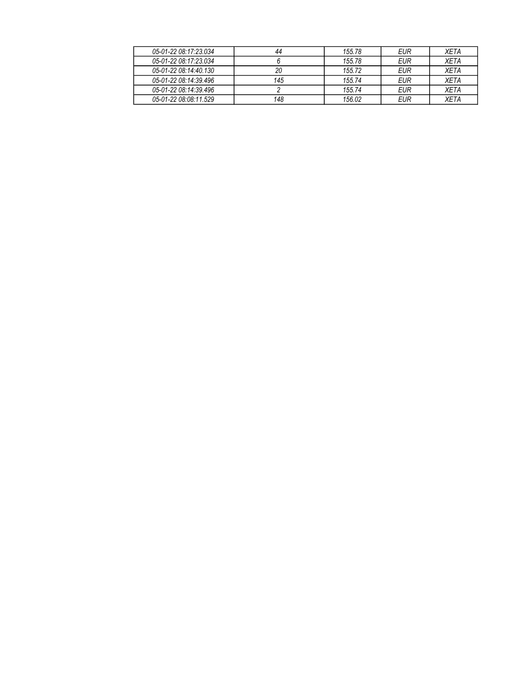| 05-01-22 08:17:23.034 | 44  | 155.78 | EUR | <b>XFTA</b> |
|-----------------------|-----|--------|-----|-------------|
| 05-01-22 08:17:23.034 |     | 155.78 | EUR | <b>XFTA</b> |
| 05-01-22 08:14:40.130 | 20  | 155.72 | EUR | <b>XFTA</b> |
| 05-01-22 08:14:39.496 | 145 | 155.74 | EUR | <b>XFTA</b> |
| 05-01-22 08:14:39.496 |     | 155.74 | EUR | <b>XFTA</b> |
| 05-01-22 08:08:11.529 | 148 | 156.02 | EUR | <b>XFTA</b> |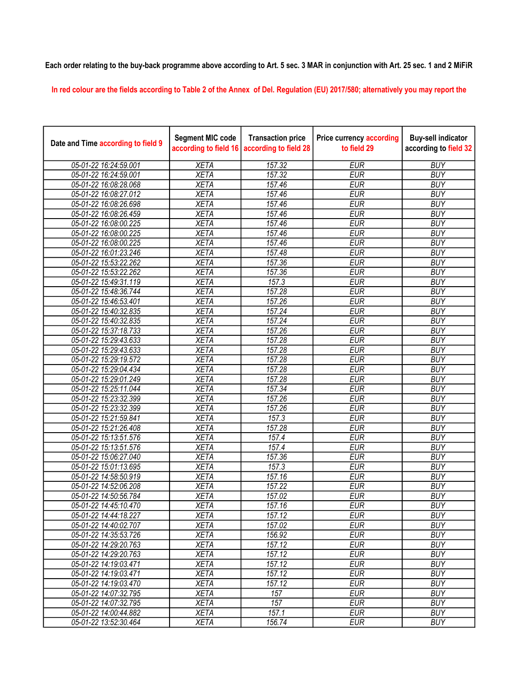## Each order relating to the buy-back programme above according to Art. 5 sec. 3 MAR in conjunction with Art. 25 sec. 1 and 2 MiFiR

In red colour are the fields according to Table 2 of the Annex of Del. Regulation (EU) 2017/580; alternatively you may report the

| Date and Time according to field 9 | <b>Segment MIC code</b><br>according to field 16 | <b>Transaction price</b><br>according to field 28 | <b>Price currency according</b><br>to field 29 | <b>Buy-sell indicator</b><br>according to field 32 |
|------------------------------------|--------------------------------------------------|---------------------------------------------------|------------------------------------------------|----------------------------------------------------|
| 05-01-22 16:24:59.001              | <b>XETA</b>                                      | 157.32                                            | <b>EUR</b>                                     | <b>BUY</b>                                         |
| 05-01-22 16:24:59.001              | <b>XETA</b>                                      | 157.32                                            | <b>EUR</b>                                     | <b>BUY</b>                                         |
| 05-01-22 16:08:28.068              | <b>XETA</b>                                      | 157.46                                            | <b>EUR</b>                                     | <b>BUY</b>                                         |
| 05-01-22 16:08:27.012              | <b>XETA</b>                                      | 157.46                                            | <b>EUR</b>                                     | <b>BUY</b>                                         |
| 05-01-22 16:08:26.698              | <b>XETA</b>                                      | 157.46                                            | <b>EUR</b>                                     | <b>BUY</b>                                         |
| 05-01-22 16:08:26.459              | <b>XETA</b>                                      | 157.46                                            | <b>EUR</b>                                     | <b>BUY</b>                                         |
| 05-01-22 16:08:00.225              | <b>XETA</b>                                      | 157.46                                            | <b>EUR</b>                                     | <b>BUY</b>                                         |
| 05-01-22 16:08:00.225              | <b>XETA</b>                                      | 157.46                                            | <b>EUR</b>                                     | <b>BUY</b>                                         |
| 05-01-22 16:08:00.225              | <b>XETA</b>                                      | 157.46                                            | <b>EUR</b>                                     | <b>BUY</b>                                         |
| 05-01-22 16:01:23.246              | <b>XETA</b>                                      | 157.48                                            | <b>EUR</b>                                     | <b>BUY</b>                                         |
| 05-01-22 15:53:22.262              | <b>XETA</b>                                      | 157.36                                            | <b>EUR</b>                                     | <b>BUY</b>                                         |
| 05-01-22 15:53:22.262              | <b>XETA</b>                                      | 157.36                                            | <b>EUR</b>                                     | <b>BUY</b>                                         |
| 05-01-22 15:49:31.119              | <b>XETA</b>                                      | 157.3                                             | <b>EUR</b>                                     | <b>BUY</b>                                         |
| 05-01-22 15:48:36.744              | <b>XETA</b>                                      | 157.28                                            | <b>EUR</b>                                     | <b>BUY</b>                                         |
| 05-01-22 15:46:53.401              | <b>XETA</b>                                      | 157.26                                            | <b>EUR</b>                                     | <b>BUY</b>                                         |
| 05-01-22 15:40:32.835              | <b>XETA</b>                                      | 157.24                                            | <b>EUR</b>                                     | <b>BUY</b>                                         |
| 05-01-22 15:40:32.835              | <b>XETA</b>                                      | 157.24                                            | <b>EUR</b>                                     | <b>BUY</b>                                         |
| 05-01-22 15:37:18.733              | <b>XETA</b>                                      | 157.26                                            | <b>EUR</b>                                     | <b>BUY</b>                                         |
| 05-01-22 15:29:43.633              | <b>XETA</b>                                      | 157.28                                            | <b>EUR</b>                                     | <b>BUY</b>                                         |
| 05-01-22 15:29:43.633              | <b>XETA</b>                                      | 157.28                                            | <b>EUR</b>                                     | <b>BUY</b>                                         |
| 05-01-22 15:29:19.572              | <b>XETA</b>                                      | 157.28                                            | <b>EUR</b>                                     | <b>BUY</b>                                         |
| 05-01-22 15:29:04.434              | <b>XETA</b>                                      | 157.28                                            | <b>EUR</b>                                     | <b>BUY</b>                                         |
| 05-01-22 15:29:01.249              | <b>XETA</b>                                      | 157.28                                            | <b>EUR</b>                                     | <b>BUY</b>                                         |
| 05-01-22 15:25:11.044              | <b>XETA</b>                                      | 157.34                                            | <b>EUR</b>                                     | <b>BUY</b>                                         |
| 05-01-22 15:23:32.399              | <b>XETA</b>                                      | 157.26                                            | <b>EUR</b>                                     | <b>BUY</b>                                         |
| 05-01-22 15:23:32.399              | <b>XETA</b>                                      | 157.26                                            | <b>EUR</b>                                     | <b>BUY</b>                                         |
| 05-01-22 15:21:59.841              | <b>XETA</b>                                      | 157.3                                             | <b>EUR</b>                                     | <b>BUY</b>                                         |
| 05-01-22 15:21:26.408              | <b>XETA</b>                                      | 157.28                                            | <b>EUR</b>                                     | <b>BUY</b>                                         |
| 05-01-22 15:13:51.576              | <b>XETA</b>                                      | 157.4                                             | <b>EUR</b>                                     | <b>BUY</b>                                         |
| 05-01-22 15:13:51.576              | <b>XETA</b>                                      | 157.4                                             | <b>EUR</b>                                     | <b>BUY</b>                                         |
| 05-01-22 15:06:27.040              | <b>XETA</b>                                      | 157.36                                            | <b>EUR</b>                                     | <b>BUY</b>                                         |
| 05-01-22 15:01:13.695              | <b>XETA</b>                                      | 157.3                                             | <b>EUR</b>                                     | <b>BUY</b>                                         |
| 05-01-22 14:58:50.919              | <b>XETA</b>                                      | 157.16                                            | <b>EUR</b>                                     | <b>BUY</b>                                         |
| 05-01-22 14:52:06.208              | <b>XETA</b>                                      | 157.22                                            | <b>EUR</b>                                     | <b>BUY</b>                                         |
| 05-01-22 14:50:56.784              | <b>XETA</b>                                      | 157.02                                            | <b>EUR</b>                                     | <b>BUY</b>                                         |
| 05-01-22 14:45:10.470              | <b>XETA</b>                                      | 157.16                                            | <b>EUR</b>                                     | <b>BUY</b>                                         |
| 05-01-22 14:44:18.227              | <b>XETA</b>                                      | 157.12                                            | <b>EUR</b>                                     | <b>BUY</b>                                         |
| 05-01-22 14:40:02.707              | <b>XETA</b>                                      | 157.02                                            | <b>EUR</b>                                     | <b>BUY</b>                                         |
| 05-01-22 14:35:53.726              | <b>XETA</b>                                      | 156.92                                            | <b>EUR</b>                                     | <b>BUY</b>                                         |
| 05-01-22 14:29:20.763              | <b>XETA</b>                                      | 157.12                                            | <b>EUR</b>                                     | <b>BUY</b>                                         |
| 05-01-22 14:29:20.763              | <b>XETA</b>                                      | 157.12                                            | <b>EUR</b>                                     | <b>BUY</b>                                         |
| 05-01-22 14:19:03.471              | <b>XETA</b>                                      | 157.12                                            | <b>EUR</b>                                     | <b>BUY</b>                                         |
| 05-01-22 14:19:03.471              | <b>XETA</b>                                      | 157.12                                            | <b>EUR</b>                                     | <b>BUY</b>                                         |
| 05-01-22 14:19:03.470              | <b>XETA</b>                                      | 157.12                                            | <b>EUR</b>                                     | <b>BUY</b>                                         |
| 05-01-22 14:07:32.795              | <b>XETA</b>                                      | 157                                               | <b>EUR</b>                                     | <b>BUY</b>                                         |
| 05-01-22 14:07:32.795              | <b>XETA</b>                                      | 157                                               | <b>EUR</b>                                     | <b>BUY</b>                                         |
| 05-01-22 14:00:44.882              | <b>XETA</b>                                      | 157.1                                             | <b>EUR</b>                                     | <b>BUY</b>                                         |
| 05-01-22 13:52:30.464              | <b>XETA</b>                                      | 156.74                                            | <b>EUR</b>                                     | <b>BUY</b>                                         |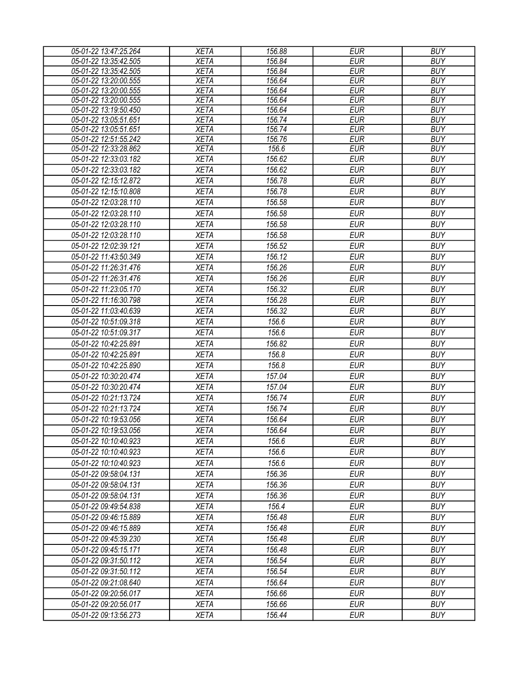| 05-01-22 13:47:25.264 | <b>XETA</b> | 156.88 | <b>EUR</b> | <b>BUY</b> |
|-----------------------|-------------|--------|------------|------------|
| 05-01-22 13:35:42.505 | <b>XETA</b> | 156.84 | <b>EUR</b> | <b>BUY</b> |
| 05-01-22 13:35:42.505 | <b>XETA</b> | 156.84 | <b>EUR</b> | <b>BUY</b> |
| 05-01-22 13:20:00.555 | <b>XETA</b> | 156.64 | <b>EUR</b> | <b>BUY</b> |
| 05-01-22 13:20:00.555 | <b>XETA</b> | 156.64 | <b>EUR</b> | <b>BUY</b> |
| 05-01-22 13:20:00.555 | <b>XETA</b> | 156.64 | <b>EUR</b> | <b>BUY</b> |
| 05-01-22 13:19:50.450 | <b>XETA</b> | 156.64 | <b>EUR</b> | <b>BUY</b> |
| 05-01-22 13:05:51.651 | <b>XETA</b> | 156.74 | <b>EUR</b> | <b>BUY</b> |
| 05-01-22 13:05:51.651 | <b>XETA</b> | 156.74 | <b>EUR</b> | <b>BUY</b> |
| 05-01-22 12:51:55.242 | <b>XETA</b> | 156.76 | <b>EUR</b> | <b>BUY</b> |
| 05-01-22 12:33:28.862 | <b>XETA</b> | 156.6  | <b>EUR</b> | <b>BUY</b> |
| 05-01-22 12:33:03.182 | <b>XETA</b> | 156.62 | <b>EUR</b> | <b>BUY</b> |
| 05-01-22 12:33:03.182 | <b>XETA</b> | 156.62 | <b>EUR</b> | <b>BUY</b> |
| 05-01-22 12:15:12.872 | <b>XETA</b> | 156.78 | <b>EUR</b> | <b>BUY</b> |
| 05-01-22 12:15:10.808 | <b>XETA</b> | 156.78 | <b>EUR</b> | <b>BUY</b> |
| 05-01-22 12:03:28.110 | <b>XETA</b> | 156.58 | <b>EUR</b> | <b>BUY</b> |
| 05-01-22 12:03:28.110 | <b>XETA</b> | 156.58 | <b>EUR</b> | <b>BUY</b> |
| 05-01-22 12:03:28.110 | <b>XETA</b> | 156.58 | <b>EUR</b> | <b>BUY</b> |
| 05-01-22 12:03:28.110 | <b>XETA</b> | 156.58 | <b>EUR</b> | <b>BUY</b> |
| 05-01-22 12:02:39.121 | <b>XETA</b> | 156.52 | <b>EUR</b> | <b>BUY</b> |
| 05-01-22 11:43:50.349 | <b>XETA</b> | 156.12 | <b>EUR</b> | <b>BUY</b> |
| 05-01-22 11:26:31.476 | <b>XETA</b> | 156.26 | <b>EUR</b> | <b>BUY</b> |
| 05-01-22 11:26:31.476 | <b>XETA</b> | 156.26 | <b>EUR</b> | <b>BUY</b> |
| 05-01-22 11:23:05.170 | <b>XETA</b> | 156.32 | <b>EUR</b> | <b>BUY</b> |
| 05-01-22 11:16:30.798 |             | 156.28 |            | <b>BUY</b> |
|                       | <b>XETA</b> |        | <b>EUR</b> |            |
| 05-01-22 11:03:40.639 | <b>XETA</b> | 156.32 | <b>EUR</b> | <b>BUY</b> |
| 05-01-22 10:51:09.318 | <b>XETA</b> | 156.6  | <b>EUR</b> | <b>BUY</b> |
| 05-01-22 10:51:09.317 | <b>XETA</b> | 156.6  | <b>EUR</b> | <b>BUY</b> |
| 05-01-22 10:42:25.891 | <b>XETA</b> | 156.82 | <b>EUR</b> | <b>BUY</b> |
| 05-01-22 10:42:25.891 | <b>XETA</b> | 156.8  | <b>EUR</b> | <b>BUY</b> |
| 05-01-22 10:42:25.890 | <b>XETA</b> | 156.8  | <b>EUR</b> | <b>BUY</b> |
| 05-01-22 10:30:20.474 | <b>XETA</b> | 157.04 | <b>EUR</b> | <b>BUY</b> |
| 05-01-22 10:30:20.474 | <b>XETA</b> | 157.04 | <b>EUR</b> | <b>BUY</b> |
| 05-01-22 10:21:13.724 | <b>XETA</b> | 156.74 | <b>EUR</b> | <b>BUY</b> |
| 05-01-22 10:21:13.724 | <b>XETA</b> | 156.74 | <b>EUR</b> | <b>BUY</b> |
| 05-01-22 10:19:53.056 | <b>XETA</b> | 156.64 | <b>EUR</b> | <b>BUY</b> |
| 05-01-22 10:19:53.056 | <b>XETA</b> | 156.64 | <b>EUR</b> | <b>BUY</b> |
| 05-01-22 10:10:40.923 | <b>XETA</b> | 156.6  | EUR        | <b>BUY</b> |
| 05-01-22 10:10:40.923 | <b>XETA</b> | 156.6  | <b>EUR</b> | <b>BUY</b> |
| 05-01-22 10:10:40.923 | <b>XETA</b> | 156.6  | <b>EUR</b> | <b>BUY</b> |
| 05-01-22 09:58:04.131 | <b>XETA</b> | 156.36 | <b>EUR</b> | <b>BUY</b> |
| 05-01-22 09:58:04.131 |             | 156.36 | <b>EUR</b> | <b>BUY</b> |
|                       | <b>XETA</b> |        |            |            |
| 05-01-22 09:58:04.131 | <b>XETA</b> | 156.36 | <b>EUR</b> | <b>BUY</b> |
| 05-01-22 09:49:54.838 | <b>XETA</b> | 156.4  | <b>EUR</b> | <b>BUY</b> |
| 05-01-22 09:46:15.889 | <b>XETA</b> | 156.48 | <b>EUR</b> | <b>BUY</b> |
| 05-01-22 09:46:15.889 | <b>XETA</b> | 156.48 | <b>EUR</b> | <b>BUY</b> |
| 05-01-22 09:45:39.230 | <b>XETA</b> | 156.48 | <b>EUR</b> | <b>BUY</b> |
| 05-01-22 09:45:15.171 | <b>XETA</b> | 156.48 | <b>EUR</b> | <b>BUY</b> |
| 05-01-22 09:31:50.112 | <b>XETA</b> | 156.54 | <b>EUR</b> | <b>BUY</b> |
| 05-01-22 09:31:50.112 | <b>XETA</b> | 156.54 | <b>EUR</b> | <b>BUY</b> |
| 05-01-22 09:21:08.640 | <b>XETA</b> | 156.64 | <b>EUR</b> | <b>BUY</b> |
| 05-01-22 09:20:56.017 | <b>XETA</b> | 156.66 | <b>EUR</b> | <b>BUY</b> |
| 05-01-22 09:20:56.017 | <b>XETA</b> | 156.66 | <b>EUR</b> | <b>BUY</b> |
| 05-01-22 09:13:56.273 | <b>XETA</b> | 156.44 | <b>EUR</b> | <b>BUY</b> |
|                       |             |        |            |            |